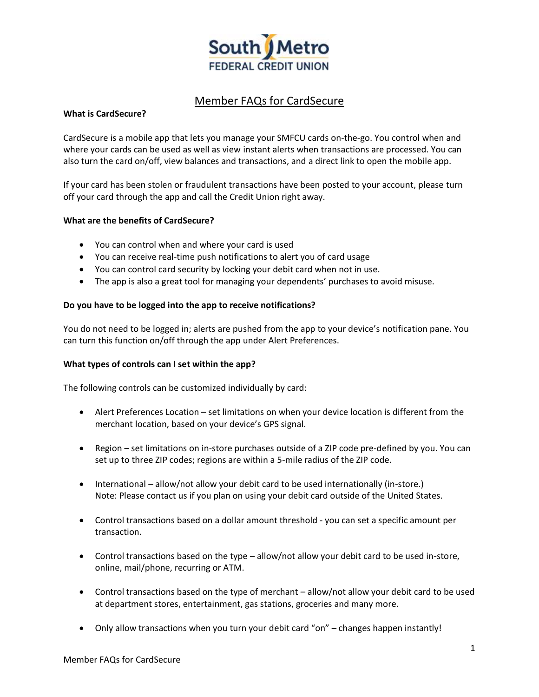

# Member FAQs for CardSecure

## **What is CardSecure?**

CardSecure is a mobile app that lets you manage your SMFCU cards on-the-go. You control when and where your cards can be used as well as view instant alerts when transactions are processed. You can also turn the card on/off, view balances and transactions, and a direct link to open the mobile app.

If your card has been stolen or fraudulent transactions have been posted to your account, please turn off your card through the app and call the Credit Union right away.

## **What are the benefits of CardSecure?**

- You can control when and where your card is used
- You can receive real-time push notifications to alert you of card usage
- You can control card security by locking your debit card when not in use.
- The app is also a great tool for managing your dependents' purchases to avoid misuse.

## **Do you have to be logged into the app to receive notifications?**

You do not need to be logged in; alerts are pushed from the app to your device's notification pane. You can turn this function on/off through the app under Alert Preferences.

## **What types of controls can I set within the app?**

The following controls can be customized individually by card:

- Alert Preferences Location set limitations on when your device location is different from the merchant location, based on your device's GPS signal.
- Region set limitations on in-store purchases outside of a ZIP code pre-defined by you. You can set up to three ZIP codes; regions are within a 5-mile radius of the ZIP code.
- International allow/not allow your debit card to be used internationally (in-store.) Note: Please contact us if you plan on using your debit card outside of the United States.
- Control transactions based on a dollar amount threshold you can set a specific amount per transaction.
- Control transactions based on the type allow/not allow your debit card to be used in-store, online, mail/phone, recurring or ATM.
- Control transactions based on the type of merchant allow/not allow your debit card to be used at department stores, entertainment, gas stations, groceries and many more.
- Only allow transactions when you turn your debit card "on" changes happen instantly!